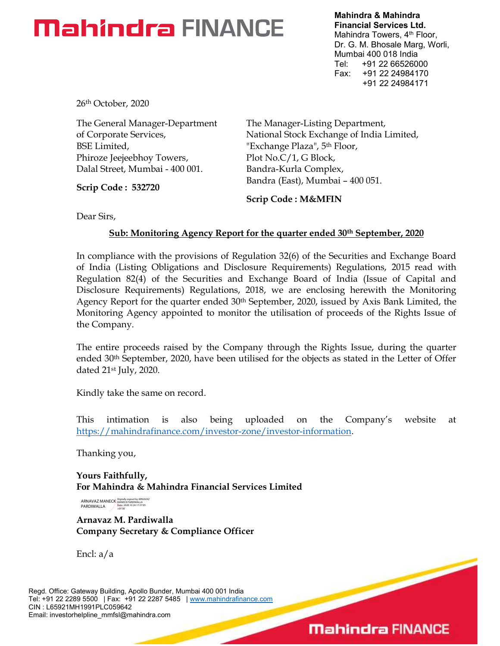# **Mahindra FINANCE**

Mahindra & Mahindra Financial Services Ltd. Mahindra Towers, 4<sup>th</sup> Floor, Dr. G. M. Bhosale Marg, Worli, Mumbai 400 018 India Tel: +91 22 66526000 Fax: +91 22 24984170 +91 22 24984171

 $\overline{\phantom{0}}$ 

**Mahindra FINANCE** 

26th October, 2020

The General Manager-Department of Corporate Services, BSE Limited, Phiroze Jeejeebhoy Towers, Dalal Street, Mumbai - 400 001.

Scrip Code : 532720

The Manager-Listing Department, National Stock Exchange of India Limited, "Exchange Plaza", 5th Floor, Plot No.C/1, G Block, Bandra-Kurla Complex, Bandra (East), Mumbai – 400 051.

Scrip Code : M&MFIN

Dear Sirs,

# Sub: Monitoring Agency Report for the quarter ended 30<sup>th</sup> September, 2020

In compliance with the provisions of Regulation 32(6) of the Securities and Exchange Board of India (Listing Obligations and Disclosure Requirements) Regulations, 2015 read with Regulation 82(4) of the Securities and Exchange Board of India (Issue of Capital and Disclosure Requirements) Regulations, 2018, we are enclosing herewith the Monitoring Agency Report for the quarter ended  $30<sup>th</sup>$  September, 2020, issued by Axis Bank Limited, the Monitoring Agency appointed to monitor the utilisation of proceeds of the Rights Issue of the Company.

The entire proceeds raised by the Company through the Rights Issue, during the quarter ended 30th September, 2020, have been utilised for the objects as stated in the Letter of Offer dated 21st July, 2020.

Kindly take the same on record.

This intimation is also being uploaded on the Company's website at https://mahindrafinance.com/investor-zone/investor-information.

Thanking you,

Yours Faithfully, For Mahindra & Mahindra Financial Services Limited

ARNAVAZ MANECK PARDIWALLA Digitally signed by ARNAVAZ MANECK PARDIWALLA Date: 2020.10.26 17:37:05 +05'30'

Arnavaz M. Pardiwalla Company Secretary & Compliance Officer

Encl: a/a

Regd. Office: Gateway Building, Apollo Bunder, Mumbai 400 001 India Tel: +91 22 2289 5500 | Fax: +91 22 2287 5485 | www.mahindrafinance.com CIN : L65921MH1991PLC059642 Email: investorhelpline\_mmfsl@mahindra.com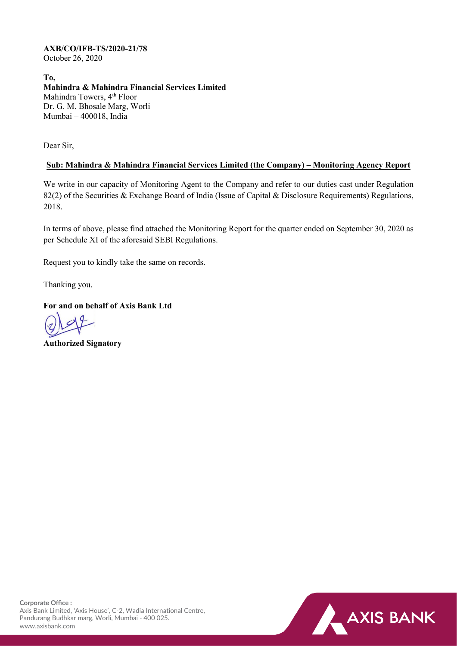### **AXB/CO/IFB-TS/2020-21/78**

October 26, 2020

**To, Mahindra & Mahindra Financial Services Limited** Mahindra Towers, 4<sup>th</sup> Floor Dr. G. M. Bhosale Marg, Worli Mumbai – 400018, India

Dear Sir,

## **Sub: Mahindra & Mahindra Financial Services Limited (the Company) – Monitoring Agency Report**

We write in our capacity of Monitoring Agent to the Company and refer to our duties cast under Regulation 82(2) of the Securities & Exchange Board of India (Issue of Capital & Disclosure Requirements) Regulations, 2018.

In terms of above, please find attached the Monitoring Report for the quarter ended on September 30, 2020 as per Schedule XI of the aforesaid SEBI Regulations.

Request you to kindly take the same on records.

Thanking you.

**For and on behalf of Axis Bank Ltd**

**Authorized Signatory**

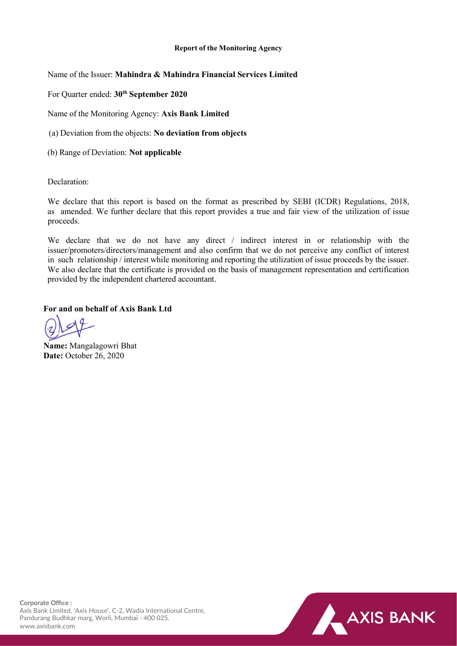#### **Report of the Monitoring Agency**

Name of the Issuer: **Mahindra & Mahindra Financial Services Limited**

For Quarter ended: **30th September 2020**

Name of the Monitoring Agency: **Axis Bank Limited**

(a) Deviation from the objects: **No deviation from objects** 

(b) Range of Deviation: **Not applicable** 

Declaration:

We declare that this report is based on the format as prescribed by SEBI (ICDR) Regulations, 2018, as amended. We further declare that this report provides a true and fair view of the utilization of issue proceeds.

We declare that we do not have any direct / indirect interest in or relationship with the issuer/promoters/directors/management and also confirm that we do not perceive any conflict of interest in such relationship / interest while monitoring and reporting the utilization of issue proceeds by the issuer. We also declare that the certificate is provided on the basis of management representation and certification provided by the independent chartered accountant.

**For and on behalf of Axis Bank Ltd**

**Name:** Mangalagowri Bhat **Date:** October 26, 2020



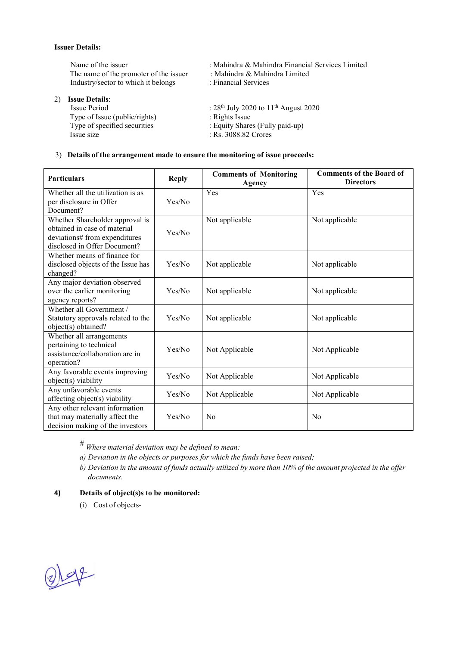#### **Issuer Details:**

Name of the issuer : Mahindra & Mahindra Financial Services Limited<br>The name of the promoter of the issuer : Mahindra & Mahindra Limited The name of the promoter of the issuer : Mahindra & Mahindra Limited Services : Financial Services Industry/sector to which it belongs

2) **Issue Details**:

Type of Issue (public/rights)<br>Type of specified securities Type of specified securities : Equity Shares (Fully paid-up)<br>
Issue size : Rs. 3088.82 Crores

- 
- 
- 
- :  $28^{th}$  July 2020 to  $11^{th}$  August 2020<br>: Rights Issue
- 
- 
- : Rs. 3088.82 Crores

#### 3) **Details of the arrangement made to ensure the monitoring of issue proceeds:**

| <b>Particulars</b>                                                                                                               | <b>Reply</b> | <b>Comments of Monitoring</b><br>Agency | <b>Comments of the Board of</b><br><b>Directors</b> |
|----------------------------------------------------------------------------------------------------------------------------------|--------------|-----------------------------------------|-----------------------------------------------------|
| Whether all the utilization is as<br>per disclosure in Offer<br>Document?                                                        | Yes/No       | Yes                                     | Yes                                                 |
| Whether Shareholder approval is<br>obtained in case of material<br>deviations# from expenditures<br>disclosed in Offer Document? | Yes/No       | Not applicable                          | Not applicable                                      |
| Whether means of finance for<br>disclosed objects of the Issue has<br>changed?                                                   | Yes/No       | Not applicable                          | Not applicable                                      |
| Any major deviation observed<br>over the earlier monitoring<br>agency reports?                                                   | Yes/No       | Not applicable                          | Not applicable                                      |
| Whether all Government /<br>Statutory approvals related to the<br>object(s) obtained?                                            | Yes/No       | Not applicable                          | Not applicable                                      |
| Whether all arrangements<br>pertaining to technical<br>assistance/collaboration are in<br>operation?                             | Yes/No       | Not Applicable                          | Not Applicable                                      |
| Any favorable events improving<br>object(s) viability                                                                            | Yes/No       | Not Applicable                          | Not Applicable                                      |
| Any unfavorable events<br>affecting object(s) viability                                                                          | Yes/No       | Not Applicable                          | Not Applicable                                      |
| Any other relevant information<br>that may materially affect the<br>decision making of the investors                             | Yes/No       | N <sub>0</sub>                          | N <sub>0</sub>                                      |

*# Where material deviation may be defined to mean:*

- *a) Deviation in the objects or purposes for which the funds have been raised;*
- b) Deviation in the amount of funds actually utilized by more than 10% of the amount projected in the offer *documents.*

#### **4) Details of object(s)s to be monitored:**

(i) Cost of objects-

 $214$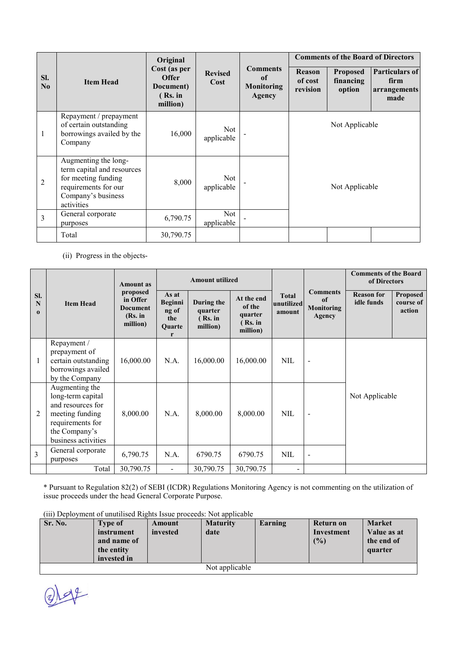|                 | <b>Item Head</b>                                                                                                                      | Original                                                         |                          |                                                      | <b>Comments of the Board of Directors</b> |                                        |                                                       |
|-----------------|---------------------------------------------------------------------------------------------------------------------------------------|------------------------------------------------------------------|--------------------------|------------------------------------------------------|-------------------------------------------|----------------------------------------|-------------------------------------------------------|
| SI.<br>$\bf No$ |                                                                                                                                       | Cost (as per<br><b>Offer</b><br>Document)<br>(Rs. in<br>million) | <b>Revised</b><br>Cost   | <b>Comments</b><br>of<br><b>Monitoring</b><br>Agency | <b>Reason</b><br>of cost<br>revision      | <b>Proposed</b><br>financing<br>option | <b>Particulars of</b><br>firm<br>arrangements<br>made |
| 1               | Repayment / prepayment<br>of certain outstanding<br>borrowings availed by the<br>Company                                              | 16,000                                                           | <b>Not</b><br>applicable |                                                      | Not Applicable<br>Not Applicable          |                                        |                                                       |
| $\overline{2}$  | Augmenting the long-<br>term capital and resources<br>for meeting funding<br>requirements for our<br>Company's business<br>activities | 8,000                                                            | <b>Not</b><br>applicable |                                                      |                                           |                                        |                                                       |
| 3               | General corporate<br>purposes                                                                                                         | 6,790.75                                                         | Not<br>applicable        |                                                      |                                           |                                        |                                                       |
|                 | Total                                                                                                                                 | 30,790.75                                                        |                          |                                                      |                                           |                                        |                                                       |

(ii) Progress in the objects-

| SI.<br>N<br>$\mathbf{0}$ | <b>Item Head</b>                                                                                                                        | <b>Amount</b> as<br>proposed<br>in Offer<br><b>Document</b><br>(Rs. in<br>million) | <b>Amount utilized</b>                                 |                                              |                                                        |                                      |                                                                 | <b>Comments of the Board</b><br>of Directors |                                        |
|--------------------------|-----------------------------------------------------------------------------------------------------------------------------------------|------------------------------------------------------------------------------------|--------------------------------------------------------|----------------------------------------------|--------------------------------------------------------|--------------------------------------|-----------------------------------------------------------------|----------------------------------------------|----------------------------------------|
|                          |                                                                                                                                         |                                                                                    | As at<br><b>Beginni</b><br>ng of<br>the<br>Quarte<br>r | During the<br>quarter<br>(Rs. in<br>million) | At the end<br>of the<br>quarter<br>(Rs. in<br>million) | <b>Total</b><br>unutilized<br>amount | <b>Comments</b><br><sub>of</sub><br><b>Monitoring</b><br>Agency | <b>Reason for</b><br>idle funds              | <b>Proposed</b><br>course of<br>action |
| 1                        | Repayment /<br>prepayment of<br>certain outstanding<br>borrowings availed<br>by the Company                                             | 16,000.00                                                                          | N.A.                                                   | 16,000.00                                    | 16,000.00                                              | <b>NIL</b>                           | $\overline{\phantom{0}}$                                        |                                              |                                        |
| 2                        | Augmenting the<br>long-term capital<br>and resources for<br>meeting funding<br>requirements for<br>the Company's<br>business activities | 8,000.00                                                                           | N.A.                                                   | 8,000.00                                     | 8,000.00                                               | <b>NIL</b>                           | $\overline{\phantom{0}}$                                        | Not Applicable                               |                                        |
| 3                        | General corporate<br>purposes                                                                                                           | 6,790.75                                                                           | N.A.                                                   | 6790.75                                      | 6790.75                                                | <b>NIL</b>                           | $\overline{\phantom{0}}$                                        |                                              |                                        |
|                          | Total                                                                                                                                   | 30,790.75                                                                          | $\blacksquare$                                         | 30,790.75                                    | 30,790.75                                              | -                                    |                                                                 |                                              |                                        |

\* Pursuant to Regulation 82(2) of SEBI (ICDR) Regulations Monitoring Agency is not commenting on the utilization of issue proceeds under the head General Corporate Purpose.

| Sr. No.        | <b>Type of</b><br>instrument<br>and name of<br>the entity<br>invested in | Amount<br>invested | <b>Maturity</b><br>date | Earning | Return on<br>Investment<br>(9/0) | <b>Market</b><br>Value as at<br>the end of<br>quarter |
|----------------|--------------------------------------------------------------------------|--------------------|-------------------------|---------|----------------------------------|-------------------------------------------------------|
| Not applicable |                                                                          |                    |                         |         |                                  |                                                       |

 $Q) 144$